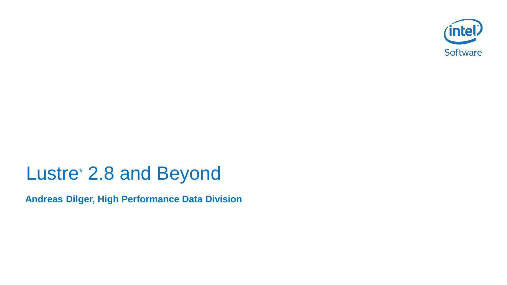

# Lustre\* 2.8 and Beyond

**Andreas Dilger, High Performance Data Division**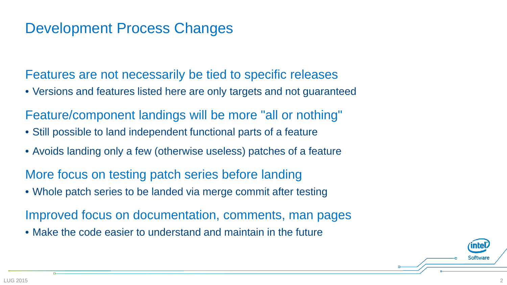## Development Process Changes

Features are not necessarily be tied to specific releases

• Versions and features listed here are only targets and not guaranteed

Feature/component landings will be more "all or nothing"

- Still possible to land independent functional parts of a feature
- Avoids landing only a few (otherwise useless) patches of a feature

More focus on testing patch series before landing

• Whole patch series to be landed via merge commit after testing

Improved focus on documentation, comments, man pages

• Make the code easier to understand and maintain in the future

Softwai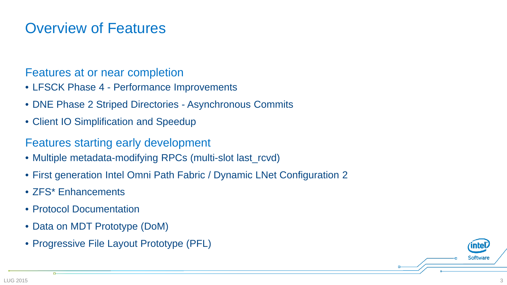## Overview of Features

#### Features at or near completion

- LFSCK Phase 4 Performance Improvements
- DNE Phase 2 Striped Directories Asynchronous Commits
- Client IO Simplification and Speedup

#### Features starting early development

- Multiple metadata-modifying RPCs (multi-slot last\_rcvd)
- First generation Intel Omni Path Fabric / Dynamic LNet Configuration 2
- ZFS\* Enhancements
- Protocol Documentation
- Data on MDT Prototype (DoM)
- Progressive File Layout Prototype (PFL)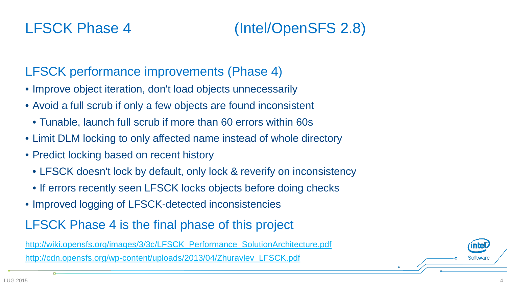# LFSCK Phase 4 (Intel/OpenSFS 2.8)

### LFSCK performance improvements (Phase 4)

- Improve object iteration, don't load objects unnecessarily
- Avoid a full scrub if only a few objects are found inconsistent
	- Tunable, launch full scrub if more than 60 errors within 60s
- Limit DLM locking to only affected name instead of whole directory
- Predict locking based on recent history
	- LFSCK doesn't lock by default, only lock & reverify on inconsistency
	- If errors recently seen LFSCK locks objects before doing checks
- Improved logging of LFSCK-detected inconsistencies

#### LFSCK Phase 4 is the final phase of this project

[http://wiki.opensfs.org/images/3/3c/LFSCK\\_Performance\\_SolutionArchitecture.pdf](http://wiki.opensfs.org/images/3/3c/LFSCK_Performance_SolutionArchitecture.pdf)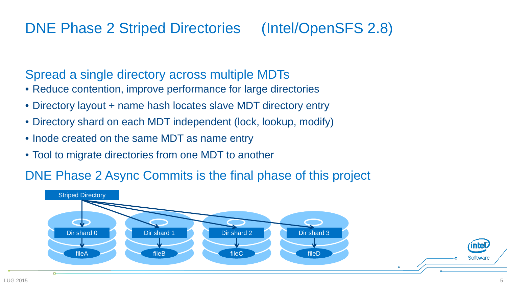# DNE Phase 2 Striped Directories (Intel/OpenSFS 2.8)

#### Spread a single directory across multiple MDTs

- Reduce contention, improve performance for large directories
- Directory layout + name hash locates slave MDT directory entry
- Directory shard on each MDT independent (lock, lookup, modify)
- Inode created on the same MDT as name entry
- Tool to migrate directories from one MDT to another

#### DNE Phase 2 Async Commits is the final phase of this project

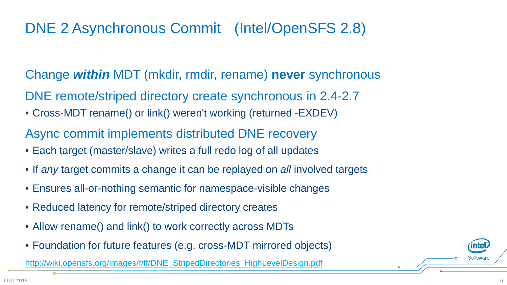# DNE 2 Asynchronous Commit (Intel/OpenSFS 2.8)

Change *within* MDT (mkdir, rmdir, rename) **never** synchronous DNE remote/striped directory create synchronous in 2.4-2.7

- Cross-MDT rename() or link() weren't working (returned -EXDEV)
- Async commit implements distributed DNE recovery
- Each target (master/slave) writes a full redo log of all updates
- If *any* target commits a change it can be replayed on *all* involved targets
- Ensures all-or-nothing semantic for namespace-visible changes
- Reduced latency for remote/striped directory creates
- Allow rename() and link() to work correctly across MDTs
- Foundation for future features (e.g. cross-MDT mirrored objects)

[http://wiki.opensfs.org/images/f/ff/DNE\\_StripedDirectories\\_HighLevelDesign.pdf](http://wiki.opensfs.org/images/f/ff/DNE_StripedDirectories_HighLevelDesign.pdf)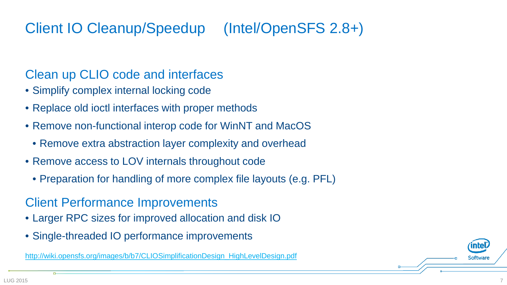# Client IO Cleanup/Speedup (Intel/OpenSFS 2.8+)

#### Clean up CLIO code and interfaces

- Simplify complex internal locking code
- Replace old ioctl interfaces with proper methods
- Remove non-functional interop code for WinNT and MacOS
	- Remove extra abstraction layer complexity and overhead
- Remove access to LOV internals throughout code
	- Preparation for handling of more complex file layouts (e.g. PFL)

#### Client Performance Improvements

- Larger RPC sizes for improved allocation and disk IO
- Single-threaded IO performance improvements

[http://wiki.opensfs.org/images/b/b7/CLIOSimplificationDesign\\_HighLevelDesign.pdf](http://wiki.opensfs.org/images/b/b7/CLIOSimplificationDesign_HighLevelDesign.pdf)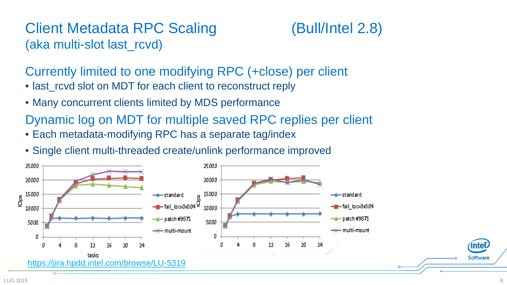## Client Metadata RPC Scaling (Bull/Intel 2.8) (aka multi-slot last\_rcvd)



Currently limited to one modifying RPC (+close) per client

- last rcvd slot on MDT for each client to reconstruct reply
- Many concurrent clients limited by MDS performance

Dynamic log on MDT for multiple saved RPC replies per client

- Each metadata-modifying RPC has a separate tag/index
- Single client multi-threaded create/unlink performance improved

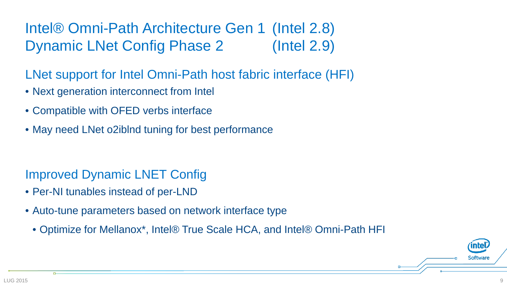# Intel® Omni-Path Architecture Gen 1 (Intel 2.8) Dynamic LNet Config Phase 2 (Intel 2.9)

- LNet support for Intel Omni-Path host fabric interface (HFI)
- Next generation interconnect from Intel
- Compatible with OFED verbs interface
- May need LNet o2iblnd tuning for best performance

### Improved Dynamic LNET Config

- Per-NI tunables instead of per-LND
- Auto-tune parameters based on network interface type
	- Optimize for Mellanox\*, Intel® True Scale HCA, and Intel® Omni-Path HFI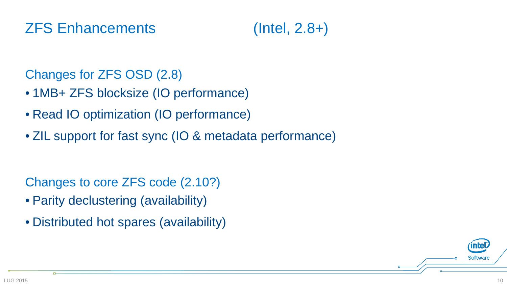## ZFS Enhancements (Intel, 2.8+)

#### Changes for ZFS OSD (2.8)

- 1MB+ ZFS blocksize (IO performance)
- Read IO optimization (IO performance)
- ZIL support for fast sync (IO & metadata performance)

Changes to core ZFS code (2.10?)

- Parity declustering (availability)
- Distributed hot spares (availability)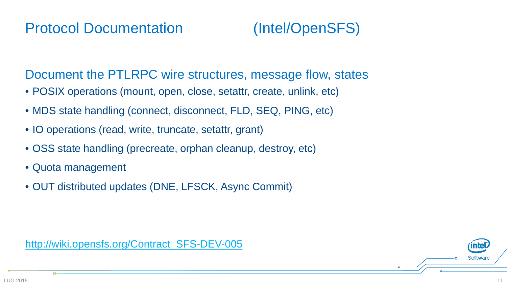

Document the PTLRPC wire structures, message flow, states

- POSIX operations (mount, open, close, setattr, create, unlink, etc)
- MDS state handling (connect, disconnect, FLD, SEQ, PING, etc)
- IO operations (read, write, truncate, setattr, grant)
- OSS state handling (precreate, orphan cleanup, destroy, etc)
- Quota management
- OUT distributed updates (DNE, LFSCK, Async Commit)

[http://wiki.opensfs.org/Contract\\_SFS-DEV-005](http://wiki.opensfs.org/Contract_SFS-DEV-005)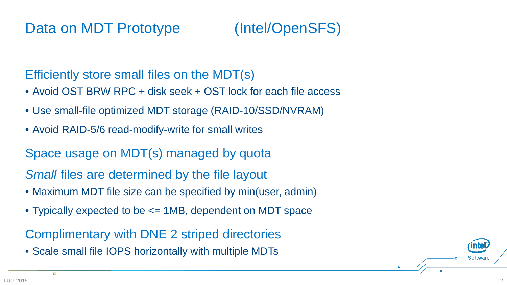

Efficiently store small files on the MDT(s)

- Avoid OST BRW RPC + disk seek + OST lock for each file access
- Use small-file optimized MDT storage (RAID-10/SSD/NVRAM)
- Avoid RAID-5/6 read-modify-write for small writes

Space usage on MDT(s) managed by quota

*Small* files are determined by the file layout

- Maximum MDT file size can be specified by min(user, admin)
- Typically expected to be  $\leq$  1MB, dependent on MDT space

Complimentary with DNE 2 striped directories

• Scale small file IOPS horizontally with multiple MDTs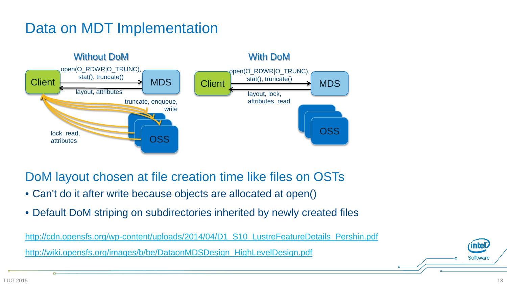## Data on MDT Implementation



DoM layout chosen at file creation time like files on OSTs

- Can't do it after write because objects are allocated at open()
- Default DoM striping on subdirectories inherited by newly created files

[http://cdn.opensfs.org/wp-content/uploads/2014/04/D1\\_S10\\_LustreFeatureDetails\\_Pershin.pdf](http://cdn.opensfs.org/wp-content/uploads/2014/04/D1_S10_LustreFeatureDetails_Pershin.pdf) [http://wiki.opensfs.org/images/b/be/DataonMDSDesign\\_HighLevelDesign.pdf](http://wiki.opensfs.org/images/b/be/DataonMDSDesign_HighLevelDesign.pdf)

**inte**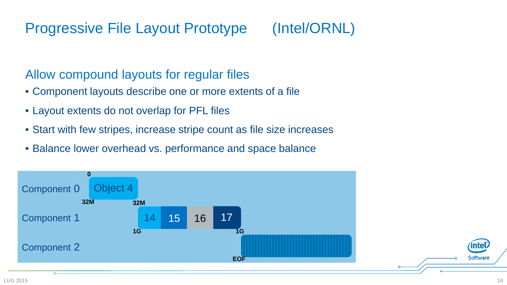# Progressive File Layout Prototype (Intel/ORNL)

#### Allow compound layouts for regular files

- Component layouts describe one or more extents of a file
- Layout extents do not overlap for PFL files
- Start with few stripes, increase stripe count as file size increases
- Balance lower overhead vs. performance and space balance

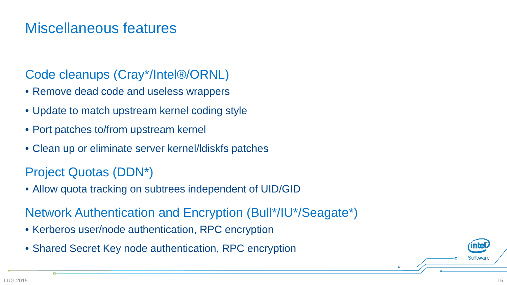## Miscellaneous features

#### Code cleanups (Cray\*/Intel®/ORNL)

- Remove dead code and useless wrappers
- Update to match upstream kernel coding style
- Port patches to/from upstream kernel
- Clean up or eliminate server kernel/ldiskfs patches

### Project Quotas (DDN\*)

• Allow quota tracking on subtrees independent of UID/GID

#### Network Authentication and Encryption (Bull\*/IU\*/Seagate\*)

- Kerberos user/node authentication, RPC encryption
- Shared Secret Key node authentication, RPC encryption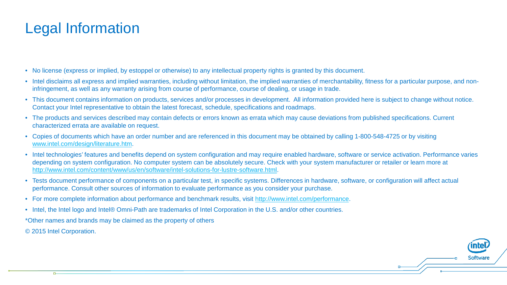## Legal Information

- No license (express or implied, by estoppel or otherwise) to any intellectual property rights is granted by this document.
- Intel disclaims all express and implied warranties, including without limitation, the implied warranties of merchantability, fitness for a particular purpose, and noninfringement, as well as any warranty arising from course of performance, course of dealing, or usage in trade.
- This document contains information on products, services and/or processes in development. All information provided here is subject to change without notice. Contact your Intel representative to obtain the latest forecast, schedule, specifications and roadmaps.
- The products and services described may contain defects or errors known as errata which may cause deviations from published specifications. Current characterized errata are available on request.
- Copies of documents which have an order number and are referenced in this document may be obtained by calling 1-800-548-4725 or by visiting [www.intel.com/design/literature.htm.](http://www.intel.com/design/literature.htm)
- Intel technologies' features and benefits depend on system configuration and may require enabled hardware, software or service activation. Performance varies depending on system configuration. No computer system can be absolutely secure. Check with your system manufacturer or retailer or learn more at <http://www.intel.com/content/www/us/en/software/intel-solutions-for-lustre-software.html>.
- Tests document performance of components on a particular test, in specific systems. Differences in hardware, software, or configuration will affect actual performance. Consult other sources of information to evaluate performance as you consider your purchase.
- For more complete information about performance and benchmark results, visit [http://www.intel.com/performance.](http://www.intel.com/performance)
- Intel, the Intel logo and Intel® Omni-Path are trademarks of Intel Corporation in the U.S. and/or other countries.

\*Other names and brands may be claimed as the property of others

© 2015 Intel Corporation.